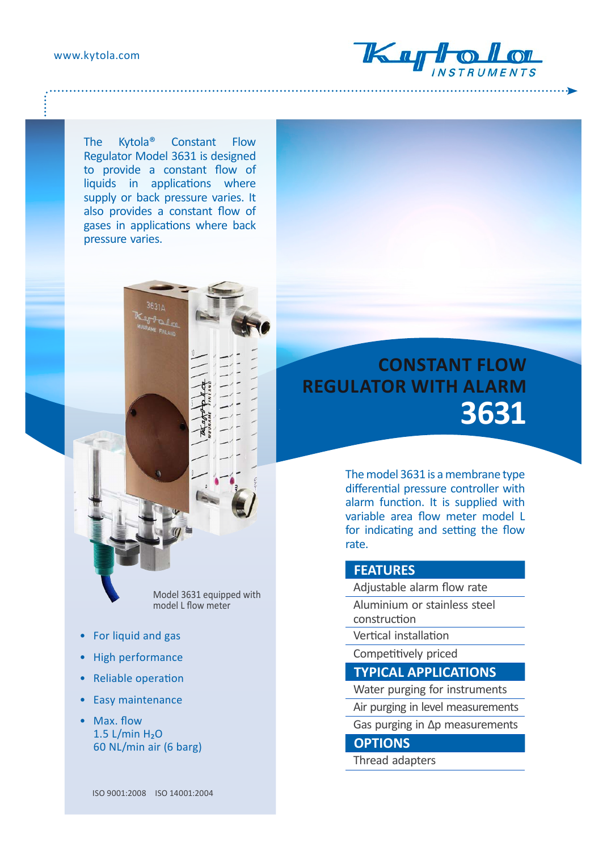

The Kytola® Constant Flow Regulator Model 3631 is designed to provide a constant flow of liquids in applications where supply or back pressure varies. It also provides a constant flow of gases in applications where back pressure varies.



Model 3631 equipped with model L flow meter

- For liquid and gas
- High performance
- Reliable operation
- Easy maintenance
- Max. flow  $1.5$  L/min  $H<sub>2</sub>O$ 60 NL/min air (6 barg)

# **CONSTANT FLOW REGULATOR WITH ALARM 3631**

The model 3631 is a membrane type differential pressure controller with alarm function. It is supplied with variable area flow meter model L for indicating and setting the flow rate.

#### **FEATURES**

Adjustable alarm flow rate

- Aluminium or stainless steel construction
- Vertical installation
- Competitively priced

### **TYPICAL APPLICATIONS**

- Water purging for instruments
- Air purging in level measurements
- Gas purging in Δp measurements

#### **OPTIONS**

Thread adapters